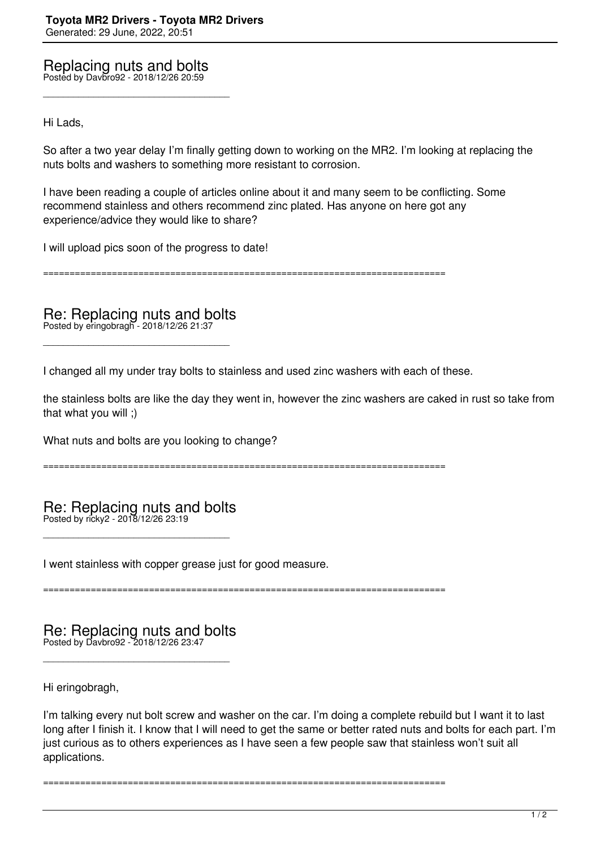Replacing nuts and bolts Posted by Davbro92 - 2018/12/26 20:59

\_\_\_\_\_\_\_\_\_\_\_\_\_\_\_\_\_\_\_\_\_\_\_\_\_\_\_\_\_\_\_\_\_\_\_\_\_

Hi Lads,

So after a two year delay I'm finally getting down to working on the MR2. I'm looking at replacing the nuts bolts and washers to something more resistant to corrosion.

I have been reading a couple of articles online about it and many seem to be conflicting. Some recommend stainless and others recommend zinc plated. Has anyone on here got any experience/advice they would like to share?

I will upload pics soon of the progress to date!

============================================================================

Re: Replacing nuts and bolts Posted by eringobragh - 2018/12/26 21:37

\_\_\_\_\_\_\_\_\_\_\_\_\_\_\_\_\_\_\_\_\_\_\_\_\_\_\_\_\_\_\_\_\_\_\_\_\_

I changed all my under tray bolts to stainless and used zinc washers with each of these.

the stainless bolts are like the day they went in, however the zinc washers are caked in rust so take from that what you will ;)

What nuts and bolts are you looking to change?

============================================================================

Re: Replacing nuts and bolts Posted by ricky2 - 2018/12/26 23:19

\_\_\_\_\_\_\_\_\_\_\_\_\_\_\_\_\_\_\_\_\_\_\_\_\_\_\_\_\_\_\_\_\_\_\_\_\_

I went stainless with copper grease just for good measure.

============================================================================

Re: Replacing nuts and bolts Posted by Davbro92 - 2018/12/26 23:47

\_\_\_\_\_\_\_\_\_\_\_\_\_\_\_\_\_\_\_\_\_\_\_\_\_\_\_\_\_\_\_\_\_\_\_\_\_

Hi eringobragh,

I'm talking every nut bolt screw and washer on the car. I'm doing a complete rebuild but I want it to last long after I finish it. I know that I will need to get the same or better rated nuts and bolts for each part. I'm just curious as to others experiences as I have seen a few people saw that stainless won't suit all applications.

============================================================================